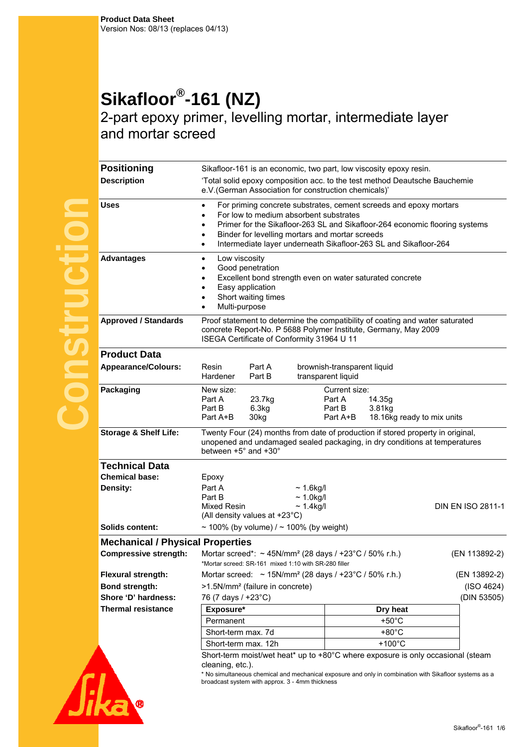## **Sikafloor®-161 (NZ)**

2-part epoxy primer, levelling mortar, intermediate layer and mortar screed

| <b>Positioning</b>                      | Sikafloor-161 is an economic, two part, low viscosity epoxy resin.                                                                                                                                                                                                                                                                               |                                                   |                                                |                   |
|-----------------------------------------|--------------------------------------------------------------------------------------------------------------------------------------------------------------------------------------------------------------------------------------------------------------------------------------------------------------------------------------------------|---------------------------------------------------|------------------------------------------------|-------------------|
| <b>Description</b>                      | 'Total solid epoxy composition acc. to the test method Deautsche Bauchemie<br>e.V.(German Association for construction chemicals)'                                                                                                                                                                                                               |                                                   |                                                |                   |
| <b>Uses</b>                             | For priming concrete substrates, cement screeds and epoxy mortars<br>$\bullet$<br>For low to medium absorbent substrates<br>Primer for the Sikafloor-263 SL and Sikafloor-264 economic flooring systems<br>Binder for levelling mortars and mortar screeds<br>$\bullet$<br>Intermediate layer underneath Sikafloor-263 SL and Sikafloor-264<br>٠ |                                                   |                                                |                   |
| <b>Advantages</b>                       | Low viscosity<br>$\bullet$<br>Good penetration<br>Excellent bond strength even on water saturated concrete<br>Easy application<br>Short waiting times<br>Multi-purpose                                                                                                                                                                           |                                                   |                                                |                   |
| <b>Approved / Standards</b>             | Proof statement to determine the compatibility of coating and water saturated<br>concrete Report-No. P 5688 Polymer Institute, Germany, May 2009<br>ISEGA Certificate of Conformity 31964 U 11                                                                                                                                                   |                                                   |                                                |                   |
| <b>Product Data</b>                     |                                                                                                                                                                                                                                                                                                                                                  |                                                   |                                                |                   |
| <b>Appearance/Colours:</b>              | Resin<br>Part A<br>Part B<br>Hardener                                                                                                                                                                                                                                                                                                            | brownish-transparent liquid<br>transparent liquid |                                                |                   |
| Packaging                               | New size:<br>Part A<br>23.7kg<br>Part B<br>6.3kg<br>Part A+B<br>30kg                                                                                                                                                                                                                                                                             | Current size:<br>Part A<br>Part B<br>Part A+B     | 14.35g<br>3.81kg<br>18.16kg ready to mix units |                   |
| <b>Storage &amp; Shelf Life:</b>        | Twenty Four (24) months from date of production if stored property in original,<br>unopened and undamaged sealed packaging, in dry conditions at temperatures<br>between +5° and +30°                                                                                                                                                            |                                                   |                                                |                   |
| <b>Technical Data</b>                   |                                                                                                                                                                                                                                                                                                                                                  |                                                   |                                                |                   |
| <b>Chemical base:</b><br>Density:       | Epoxy<br>Part A<br>Part B                                                                                                                                                                                                                                                                                                                        | $\sim$ 1.6kg/l<br>$\sim$ 1.0kg/l                  |                                                |                   |
|                                         | Mixed Resin<br>(All density values at +23°C)                                                                                                                                                                                                                                                                                                     | $\sim$ 1.4kg/l                                    |                                                | DIN EN ISO 2811-1 |
| Solids content:                         | ~ 100% (by volume) $/$ ~ 100% (by weight)                                                                                                                                                                                                                                                                                                        |                                                   |                                                |                   |
| <b>Mechanical / Physical Properties</b> |                                                                                                                                                                                                                                                                                                                                                  |                                                   |                                                |                   |
| <b>Compressive strength:</b>            | Mortar screed*: $\sim$ 45N/mm <sup>2</sup> (28 days / +23°C / 50% r.h.)<br>(EN 113892-2)<br>*Mortar screed: SR-161 mixed 1:10 with SR-280 filler                                                                                                                                                                                                 |                                                   |                                                |                   |
| <b>Flexural strength:</b>               | Mortar screed: $\sim$ 15N/mm <sup>2</sup> (28 days / +23°C / 50% r.h.)<br>(EN 13892-2)                                                                                                                                                                                                                                                           |                                                   |                                                |                   |
| <b>Bond strength:</b>                   | >1.5N/mm <sup>2</sup> (failure in concrete)<br>(ISO 4624)                                                                                                                                                                                                                                                                                        |                                                   |                                                |                   |
| Shore 'D' hardness:                     | 76 (7 days / +23°C)<br>(DIN 53505)                                                                                                                                                                                                                                                                                                               |                                                   |                                                |                   |
| <b>Thermal resistance</b>               | Exposure*<br>Dry heat                                                                                                                                                                                                                                                                                                                            |                                                   |                                                |                   |
|                                         | $+50^{\circ}$ C<br>Permanent                                                                                                                                                                                                                                                                                                                     |                                                   |                                                |                   |
|                                         | $+80^{\circ}$ C<br>Short-term max. 7d                                                                                                                                                                                                                                                                                                            |                                                   |                                                |                   |
|                                         | $+100^{\circ}$ C<br>Short-term max. 12h                                                                                                                                                                                                                                                                                                          |                                                   |                                                |                   |
|                                         | Short-term moist/wet heat* up to +80°C where exposure is only occasional (steam<br>cleaning, etc.).<br>* No simultaneous chemical and mechanical exposure and only in combination with Sikafloor systems as a<br>broadcast system with approx. 3 - 4mm thickness                                                                                 |                                                   |                                                |                   |
|                                         |                                                                                                                                                                                                                                                                                                                                                  |                                                   |                                                |                   |

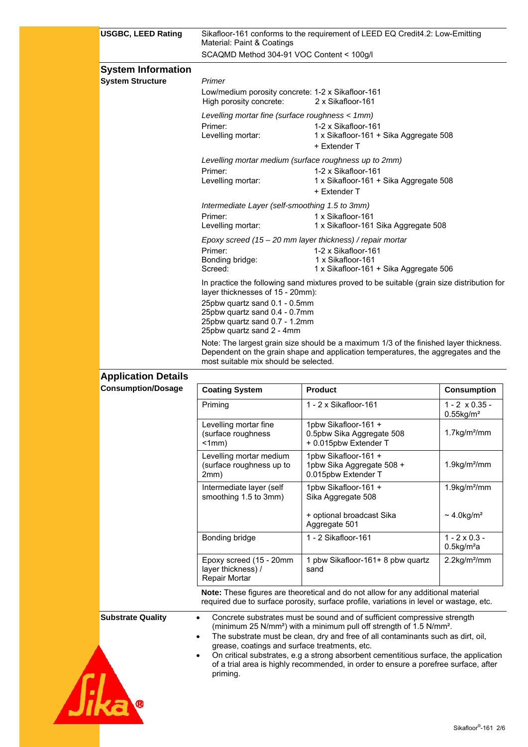| <b>USGBC, LEED Rating</b>  | Sikafloor-161 conforms to the requirement of LEED EQ Credit4.2: Low-Emitting<br>Material: Paint & Coatings                                                                                                          |                                                                                                                                                                             |                                                                                                                                                                             |  |  |
|----------------------------|---------------------------------------------------------------------------------------------------------------------------------------------------------------------------------------------------------------------|-----------------------------------------------------------------------------------------------------------------------------------------------------------------------------|-----------------------------------------------------------------------------------------------------------------------------------------------------------------------------|--|--|
|                            | SCAQMD Method 304-91 VOC Content < 100g/l                                                                                                                                                                           |                                                                                                                                                                             |                                                                                                                                                                             |  |  |
| <b>System Information</b>  |                                                                                                                                                                                                                     |                                                                                                                                                                             |                                                                                                                                                                             |  |  |
| <b>System Structure</b>    | Primer                                                                                                                                                                                                              |                                                                                                                                                                             |                                                                                                                                                                             |  |  |
|                            | Low/medium porosity concrete: 1-2 x Sikafloor-161<br>2 x Sikafloor-161<br>High porosity concrete:                                                                                                                   |                                                                                                                                                                             |                                                                                                                                                                             |  |  |
|                            | Levelling mortar fine (surface roughness < 1mm)<br>Primer:                                                                                                                                                          | 1-2 x Sikafloor-161                                                                                                                                                         |                                                                                                                                                                             |  |  |
|                            | Levelling mortar:                                                                                                                                                                                                   | 1 x Sikafloor-161 + Sika Aggregate 508                                                                                                                                      |                                                                                                                                                                             |  |  |
|                            |                                                                                                                                                                                                                     | + Extender T                                                                                                                                                                |                                                                                                                                                                             |  |  |
|                            | Levelling mortar medium (surface roughness up to 2mm)<br>Primer:<br>1-2 x Sikafloor-161                                                                                                                             |                                                                                                                                                                             |                                                                                                                                                                             |  |  |
|                            | Levelling mortar:                                                                                                                                                                                                   | 1 x Sikafloor-161 + Sika Aggregate 508                                                                                                                                      |                                                                                                                                                                             |  |  |
|                            | + Extender T<br>Intermediate Layer (self-smoothing 1.5 to 3mm)                                                                                                                                                      |                                                                                                                                                                             |                                                                                                                                                                             |  |  |
|                            | Primer:                                                                                                                                                                                                             | 1 x Sikafloor-161                                                                                                                                                           |                                                                                                                                                                             |  |  |
|                            | Levelling mortar:                                                                                                                                                                                                   | 1 x Sikafloor-161 Sika Aggregate 508<br>Epoxy screed $(15 - 20$ mm layer thickness) / repair mortar                                                                         |                                                                                                                                                                             |  |  |
|                            | Primer:                                                                                                                                                                                                             | 1-2 x Sikafloor-161                                                                                                                                                         |                                                                                                                                                                             |  |  |
|                            | Bonding bridge:<br>Screed:                                                                                                                                                                                          | 1 x Sikafloor-161<br>1 x Sikafloor-161 + Sika Aggregate 506                                                                                                                 |                                                                                                                                                                             |  |  |
|                            |                                                                                                                                                                                                                     | In practice the following sand mixtures proved to be suitable (grain size distribution for                                                                                  |                                                                                                                                                                             |  |  |
|                            | layer thicknesses of 15 - 20mm):<br>25pbw quartz sand 0.1 - 0.5mm                                                                                                                                                   |                                                                                                                                                                             |                                                                                                                                                                             |  |  |
|                            | 25pbw quartz sand 0.4 - 0.7mm<br>25pbw quartz sand 0.7 - 1.2mm                                                                                                                                                      |                                                                                                                                                                             |                                                                                                                                                                             |  |  |
|                            | 25pbw quartz sand 2 - 4mm                                                                                                                                                                                           |                                                                                                                                                                             |                                                                                                                                                                             |  |  |
|                            | Note: The largest grain size should be a maximum 1/3 of the finished layer thickness.<br>Dependent on the grain shape and application temperatures, the aggregates and the<br>most suitable mix should be selected. |                                                                                                                                                                             |                                                                                                                                                                             |  |  |
| <b>Application Details</b> |                                                                                                                                                                                                                     |                                                                                                                                                                             |                                                                                                                                                                             |  |  |
| <b>Consumption/Dosage</b>  | <b>Coating System</b>                                                                                                                                                                                               | <b>Product</b>                                                                                                                                                              | <b>Consumption</b>                                                                                                                                                          |  |  |
|                            | Priming                                                                                                                                                                                                             | 1 - 2 x Sikafloor-161                                                                                                                                                       | $1 - 2 \times 0.35$ -<br>$0.55$ kg/m <sup>2</sup>                                                                                                                           |  |  |
|                            | Levelling mortar fine<br>(surface roughness                                                                                                                                                                         | 1pbw Sikafloor-161 +<br>0.5pbw Sika Aggregate 508                                                                                                                           | $1.7$ kg/m <sup>2</sup> /mm                                                                                                                                                 |  |  |
|                            | < 1mm)                                                                                                                                                                                                              | + 0.015pbw Extender T                                                                                                                                                       |                                                                                                                                                                             |  |  |
|                            | Levelling mortar medium<br>(surface roughness up to<br>2mm)                                                                                                                                                         | 1pbw Sikafloor-161 +<br>1pbw Sika Aggregate 508 +<br>0.015pbw Extender T                                                                                                    | $1.9$ kg/m <sup>2</sup> /mm                                                                                                                                                 |  |  |
|                            | Intermediate layer (self<br>smoothing 1.5 to 3mm)                                                                                                                                                                   | 1pbw Sikafloor-161 +<br>Sika Aggregate 508                                                                                                                                  | $1.9$ kg/m <sup>2</sup> /mm                                                                                                                                                 |  |  |
|                            |                                                                                                                                                                                                                     | + optional broadcast Sika                                                                                                                                                   | $\sim$ 4.0kg/m <sup>2</sup>                                                                                                                                                 |  |  |
|                            |                                                                                                                                                                                                                     | Aggregate 501                                                                                                                                                               |                                                                                                                                                                             |  |  |
|                            | Bonding bridge                                                                                                                                                                                                      | 1 - 2 Sikafloor-161                                                                                                                                                         | $1 - 2 \times 0.3 -$<br>$0.5$ kg/m <sup>2</sup> a                                                                                                                           |  |  |
|                            | Epoxy screed (15 - 20mm<br>layer thickness) /<br>Repair Mortar                                                                                                                                                      | 1 pbw Sikafloor-161+ 8 pbw quartz<br>sand                                                                                                                                   | $2.2$ kg/m <sup>2</sup> /mm                                                                                                                                                 |  |  |
|                            |                                                                                                                                                                                                                     | Note: These figures are theoretical and do not allow for any additional material<br>required due to surface porosity, surface profile, variations in level or wastage, etc. |                                                                                                                                                                             |  |  |
| <b>Substrate Quality</b>   | Concrete substrates must be sound and of sufficient compressive strength<br>(minimum 25 N/mm <sup>2</sup> ) with a minimum pull off strength of 1.5 N/mm <sup>2</sup> .                                             |                                                                                                                                                                             |                                                                                                                                                                             |  |  |
|                            | The substrate must be clean, dry and free of all contaminants such as dirt, oil,<br>$\bullet$<br>grease, coatings and surface treatments, etc.                                                                      |                                                                                                                                                                             |                                                                                                                                                                             |  |  |
|                            |                                                                                                                                                                                                                     |                                                                                                                                                                             | On critical substrates, e.g a strong absorbent cementitious surface, the application<br>of a trial area is highly recommended, in order to ensure a porefree surface, after |  |  |
|                            | priming.                                                                                                                                                                                                            |                                                                                                                                                                             |                                                                                                                                                                             |  |  |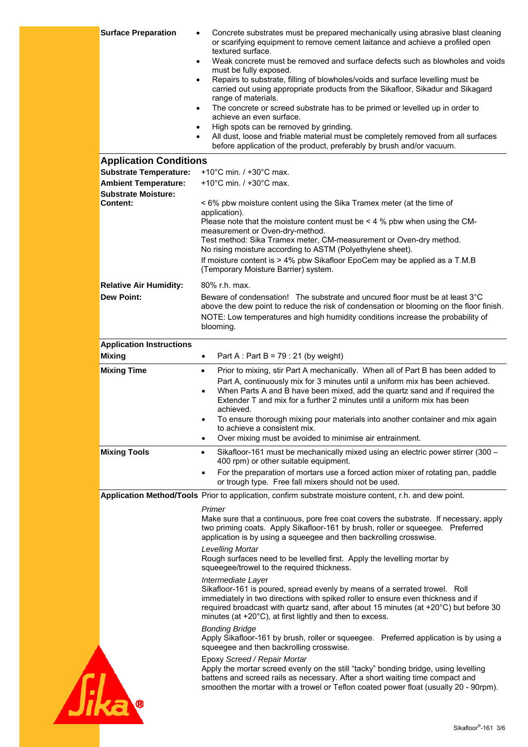| <b>Surface Preparation</b><br>$\bullet$<br>$\bullet$ | Concrete substrates must be prepared mechanically using abrasive blast cleaning<br>or scarifying equipment to remove cement laitance and achieve a profiled open<br>textured surface.<br>Weak concrete must be removed and surface defects such as blowholes and voids<br>must be fully exposed.<br>Repairs to substrate, filling of blowholes/voids and surface levelling must be<br>$\bullet$<br>carried out using appropriate products from the Sikafloor, Sikadur and Sikagard<br>range of materials.<br>The concrete or screed substrate has to be primed or levelled up in order to<br>$\bullet$<br>achieve an even surface.<br>High spots can be removed by grinding.<br>$\bullet$<br>All dust, loose and friable material must be completely removed from all surfaces<br>before application of the product, preferably by brush and/or vacuum. |
|------------------------------------------------------|---------------------------------------------------------------------------------------------------------------------------------------------------------------------------------------------------------------------------------------------------------------------------------------------------------------------------------------------------------------------------------------------------------------------------------------------------------------------------------------------------------------------------------------------------------------------------------------------------------------------------------------------------------------------------------------------------------------------------------------------------------------------------------------------------------------------------------------------------------|
| <b>Application Conditions</b>                        |                                                                                                                                                                                                                                                                                                                                                                                                                                                                                                                                                                                                                                                                                                                                                                                                                                                         |
| <b>Substrate Temperature:</b>                        | +10 $^{\circ}$ C min. / +30 $^{\circ}$ C max.                                                                                                                                                                                                                                                                                                                                                                                                                                                                                                                                                                                                                                                                                                                                                                                                           |
| <b>Ambient Temperature:</b>                          | +10°C min. / +30°C max.                                                                                                                                                                                                                                                                                                                                                                                                                                                                                                                                                                                                                                                                                                                                                                                                                                 |
| <b>Substrate Moisture:</b>                           |                                                                                                                                                                                                                                                                                                                                                                                                                                                                                                                                                                                                                                                                                                                                                                                                                                                         |
| <b>Content:</b>                                      | < 6% pbw moisture content using the Sika Tramex meter (at the time of<br>application).<br>Please note that the moisture content must be $\leq 4$ % pbw when using the CM-                                                                                                                                                                                                                                                                                                                                                                                                                                                                                                                                                                                                                                                                               |
|                                                      | measurement or Oven-dry-method.<br>Test method: Sika Tramex meter, CM-measurement or Oven-dry method.<br>No rising moisture according to ASTM (Polyethylene sheet).                                                                                                                                                                                                                                                                                                                                                                                                                                                                                                                                                                                                                                                                                     |
|                                                      | If moisture content is > 4% pbw Sikafloor EpoCem may be applied as a T.M.B<br>(Temporary Moisture Barrier) system.                                                                                                                                                                                                                                                                                                                                                                                                                                                                                                                                                                                                                                                                                                                                      |
| <b>Relative Air Humidity:</b>                        | 80% r.h. max.                                                                                                                                                                                                                                                                                                                                                                                                                                                                                                                                                                                                                                                                                                                                                                                                                                           |
| <b>Dew Point:</b>                                    | Beware of condensation! The substrate and uncured floor must be at least 3°C<br>above the dew point to reduce the risk of condensation or blooming on the floor finish.<br>NOTE: Low temperatures and high humidity conditions increase the probability of<br>blooming.                                                                                                                                                                                                                                                                                                                                                                                                                                                                                                                                                                                 |
| <b>Application Instructions</b><br><b>Mixing</b>     | Part A : Part B = $79:21$ (by weight)<br>$\bullet$                                                                                                                                                                                                                                                                                                                                                                                                                                                                                                                                                                                                                                                                                                                                                                                                      |
| <b>Mixing Time</b>                                   | Prior to mixing, stir Part A mechanically. When all of Part B has been added to                                                                                                                                                                                                                                                                                                                                                                                                                                                                                                                                                                                                                                                                                                                                                                         |
|                                                      | $\bullet$<br>Part A, continuously mix for 3 minutes until a uniform mix has been achieved.<br>When Parts A and B have been mixed, add the quartz sand and if required the<br>$\bullet$<br>Extender T and mix for a further 2 minutes until a uniform mix has been<br>achieved.                                                                                                                                                                                                                                                                                                                                                                                                                                                                                                                                                                          |
|                                                      | To ensure thorough mixing pour materials into another container and mix again<br>$\bullet$<br>to achieve a consistent mix.                                                                                                                                                                                                                                                                                                                                                                                                                                                                                                                                                                                                                                                                                                                              |
|                                                      | Over mixing must be avoided to minimise air entrainment.                                                                                                                                                                                                                                                                                                                                                                                                                                                                                                                                                                                                                                                                                                                                                                                                |
| <b>Mixing Tools</b>                                  | Sikafloor-161 must be mechanically mixed using an electric power stirrer (300 -<br>$\bullet$<br>400 rpm) or other suitable equipment.                                                                                                                                                                                                                                                                                                                                                                                                                                                                                                                                                                                                                                                                                                                   |
|                                                      | For the preparation of mortars use a forced action mixer of rotating pan, paddle<br>or trough type. Free fall mixers should not be used.                                                                                                                                                                                                                                                                                                                                                                                                                                                                                                                                                                                                                                                                                                                |
|                                                      | Application Method/Tools Prior to application, confirm substrate moisture content, r.h. and dew point.                                                                                                                                                                                                                                                                                                                                                                                                                                                                                                                                                                                                                                                                                                                                                  |
|                                                      | Primer<br>Make sure that a continuous, pore free coat covers the substrate. If necessary, apply<br>two priming coats. Apply Sikafloor-161 by brush, roller or squeegee. Preferred<br>application is by using a squeegee and then backrolling crosswise.                                                                                                                                                                                                                                                                                                                                                                                                                                                                                                                                                                                                 |
|                                                      | Levelling Mortar<br>Rough surfaces need to be levelled first. Apply the levelling mortar by<br>squeegee/trowel to the required thickness.                                                                                                                                                                                                                                                                                                                                                                                                                                                                                                                                                                                                                                                                                                               |
|                                                      | Intermediate Layer<br>Sikafloor-161 is poured, spread evenly by means of a serrated trowel. Roll<br>immediately in two directions with spiked roller to ensure even thickness and if<br>required broadcast with quartz sand, after about 15 minutes (at +20°C) but before 30<br>minutes (at +20°C), at first lightly and then to excess.                                                                                                                                                                                                                                                                                                                                                                                                                                                                                                                |
|                                                      | <b>Bonding Bridge</b><br>Apply Sikafloor-161 by brush, roller or squeegee. Preferred application is by using a<br>squeegee and then backrolling crosswise.                                                                                                                                                                                                                                                                                                                                                                                                                                                                                                                                                                                                                                                                                              |
|                                                      | Epoxy Screed / Repair Mortar<br>Apply the mortar screed evenly on the still "tacky" bonding bridge, using levelling<br>battens and screed rails as necessary. After a short waiting time compact and<br>smoothen the mortar with a trowel or Teflon coated power float (usually 20 - 90rpm).                                                                                                                                                                                                                                                                                                                                                                                                                                                                                                                                                            |
|                                                      |                                                                                                                                                                                                                                                                                                                                                                                                                                                                                                                                                                                                                                                                                                                                                                                                                                                         |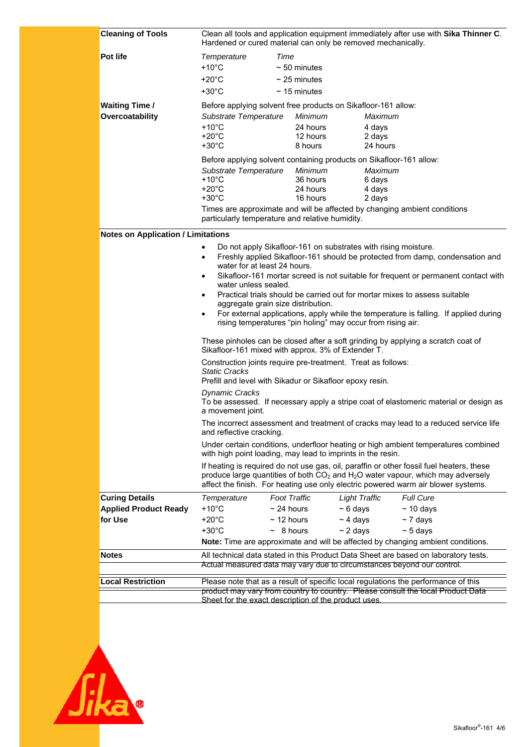| <b>Cleaning of Tools</b>                                         | Clean all tools and application equipment immediately after use with Sika Thinner C.<br>Hardened or cured material can only be removed mechanically.                                                                                                                                                                                                                                                                                                                                                                                                                                                                                                                                                                                                                                                                                                                                                                                                                                                                                                                                                                                                                                                                                                                                                                                           |                                                                                                                                      |                                                                                                                                                                                                                                                                                          |
|------------------------------------------------------------------|------------------------------------------------------------------------------------------------------------------------------------------------------------------------------------------------------------------------------------------------------------------------------------------------------------------------------------------------------------------------------------------------------------------------------------------------------------------------------------------------------------------------------------------------------------------------------------------------------------------------------------------------------------------------------------------------------------------------------------------------------------------------------------------------------------------------------------------------------------------------------------------------------------------------------------------------------------------------------------------------------------------------------------------------------------------------------------------------------------------------------------------------------------------------------------------------------------------------------------------------------------------------------------------------------------------------------------------------|--------------------------------------------------------------------------------------------------------------------------------------|------------------------------------------------------------------------------------------------------------------------------------------------------------------------------------------------------------------------------------------------------------------------------------------|
| <b>Pot life</b><br><b>Waiting Time /</b>                         | Temperature<br>$+10^{\circ}$ C<br>$+20^{\circ}$ C<br>$+30^{\circ}$ C                                                                                                                                                                                                                                                                                                                                                                                                                                                                                                                                                                                                                                                                                                                                                                                                                                                                                                                                                                                                                                                                                                                                                                                                                                                                           | Time<br>$\sim$ 50 minutes<br>$\sim$ 25 minutes<br>$\sim$ 15 minutes<br>Before applying solvent free products on Sikafloor-161 allow: |                                                                                                                                                                                                                                                                                          |
| Overcoatability                                                  | Substrate Temperature<br>$+10^{\circ}$ C<br>$+20^{\circ}$ C<br>$+30^{\circ}$ C                                                                                                                                                                                                                                                                                                                                                                                                                                                                                                                                                                                                                                                                                                                                                                                                                                                                                                                                                                                                                                                                                                                                                                                                                                                                 | Minimum<br>24 hours<br>12 hours<br>8 hours<br>Before applying solvent containing products on Sikafloor-161 allow:                    | Maximum<br>4 days<br>2 days<br>24 hours                                                                                                                                                                                                                                                  |
|                                                                  | Substrate Temperature<br>$+10^{\circ}$ C<br>$+20^{\circ}$ C<br>$+30^{\circ}$ C                                                                                                                                                                                                                                                                                                                                                                                                                                                                                                                                                                                                                                                                                                                                                                                                                                                                                                                                                                                                                                                                                                                                                                                                                                                                 | Minimum<br>36 hours<br>24 hours<br>16 hours<br>particularly temperature and relative humidity.                                       | Maximum<br>6 days<br>4 days<br>2 days<br>Times are approximate and will be affected by changing ambient conditions                                                                                                                                                                       |
| <b>Notes on Application / Limitations</b>                        |                                                                                                                                                                                                                                                                                                                                                                                                                                                                                                                                                                                                                                                                                                                                                                                                                                                                                                                                                                                                                                                                                                                                                                                                                                                                                                                                                |                                                                                                                                      |                                                                                                                                                                                                                                                                                          |
|                                                                  | Do not apply Sikafloor-161 on substrates with rising moisture.<br>$\bullet$<br>Freshly applied Sikafloor-161 should be protected from damp, condensation and<br>$\bullet$<br>water for at least 24 hours.<br>Sikafloor-161 mortar screed is not suitable for frequent or permanent contact with<br>$\bullet$<br>water unless sealed.<br>Practical trials should be carried out for mortar mixes to assess suitable<br>$\bullet$<br>aggregate grain size distribution.<br>For external applications, apply while the temperature is falling. If applied during<br>٠<br>rising temperatures "pin holing" may occur from rising air.<br>These pinholes can be closed after a soft grinding by applying a scratch coat of<br>Sikafloor-161 mixed with approx. 3% of Extender T.<br>Construction joints require pre-treatment. Treat as follows:<br><b>Static Cracks</b><br>Prefill and level with Sikadur or Sikafloor epoxy resin.<br><b>Dynamic Cracks</b><br>To be assessed. If necessary apply a stripe coat of elastomeric material or design as<br>a movement joint.<br>The incorrect assessment and treatment of cracks may lead to a reduced service life<br>and reflective cracking.<br>Under certain conditions, underfloor heating or high ambient temperatures combined<br>with high point loading, may lead to imprints in the resin. |                                                                                                                                      |                                                                                                                                                                                                                                                                                          |
|                                                                  |                                                                                                                                                                                                                                                                                                                                                                                                                                                                                                                                                                                                                                                                                                                                                                                                                                                                                                                                                                                                                                                                                                                                                                                                                                                                                                                                                |                                                                                                                                      | If heating is required do not use gas, oil, paraffin or other fossil fuel heaters, these<br>produce large quantities of both CO <sub>2</sub> and H <sub>2</sub> O water vapour, which may adversely<br>affect the finish. For heating use only electric powered warm air blower systems. |
| <b>Curing Details</b><br><b>Applied Product Ready</b><br>for Use | Temperature<br>$+10^{\circ}$ C<br>$+20^{\circ}$ C<br>$+30^{\circ}$ C                                                                                                                                                                                                                                                                                                                                                                                                                                                                                                                                                                                                                                                                                                                                                                                                                                                                                                                                                                                                                                                                                                                                                                                                                                                                           | <b>Foot Traffic</b><br>$\sim$ 24 hours<br>$~5$ days<br>$~\sim$ 4 days<br>$\sim$ 12 hours<br>$\sim$ 2 days<br>$\sim$ 8 hours          | <b>Full Cure</b><br><b>Light Traffic</b><br>$~10$ days<br>$\sim$ 7 days<br>$\sim$ 5 days<br>Note: Time are approximate and will be affected by changing ambient conditions.                                                                                                              |
| <b>Notes</b>                                                     |                                                                                                                                                                                                                                                                                                                                                                                                                                                                                                                                                                                                                                                                                                                                                                                                                                                                                                                                                                                                                                                                                                                                                                                                                                                                                                                                                |                                                                                                                                      | All technical data stated in this Product Data Sheet are based on laboratory tests.                                                                                                                                                                                                      |
|                                                                  | Actual measured data may vary due to circumstances beyond our control.                                                                                                                                                                                                                                                                                                                                                                                                                                                                                                                                                                                                                                                                                                                                                                                                                                                                                                                                                                                                                                                                                                                                                                                                                                                                         |                                                                                                                                      |                                                                                                                                                                                                                                                                                          |
| ocal Restriction                                                 |                                                                                                                                                                                                                                                                                                                                                                                                                                                                                                                                                                                                                                                                                                                                                                                                                                                                                                                                                                                                                                                                                                                                                                                                                                                                                                                                                |                                                                                                                                      | Please note that as a result of specific local regulations the performance of this                                                                                                                                                                                                       |
|                                                                  |                                                                                                                                                                                                                                                                                                                                                                                                                                                                                                                                                                                                                                                                                                                                                                                                                                                                                                                                                                                                                                                                                                                                                                                                                                                                                                                                                | Sheet for the exact description of the product uses.                                                                                 | product may vary from country to country. Please consult the local Product Data                                                                                                                                                                                                          |
|                                                                  |                                                                                                                                                                                                                                                                                                                                                                                                                                                                                                                                                                                                                                                                                                                                                                                                                                                                                                                                                                                                                                                                                                                                                                                                                                                                                                                                                |                                                                                                                                      |                                                                                                                                                                                                                                                                                          |

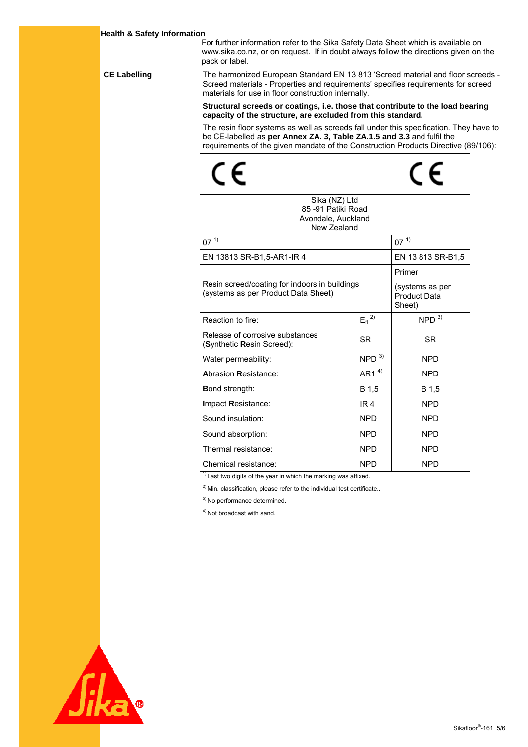| <b>Health &amp; Safety Information</b> | For further information refer to the Sika Safety Data Sheet which is available on<br>www.sika.co.nz, or on request. If in doubt always follow the directions given on the<br>pack or label.                                 |                                                                                                                                                                                                                                                        |                                                  |          |  |
|----------------------------------------|-----------------------------------------------------------------------------------------------------------------------------------------------------------------------------------------------------------------------------|--------------------------------------------------------------------------------------------------------------------------------------------------------------------------------------------------------------------------------------------------------|--------------------------------------------------|----------|--|
| <b>CE Labelling</b>                    | The harmonized European Standard EN 13 813 'Screed material and floor screeds -<br>Screed materials - Properties and requirements' specifies requirements for screed<br>materials for use in floor construction internally. |                                                                                                                                                                                                                                                        |                                                  |          |  |
|                                        |                                                                                                                                                                                                                             | Structural screeds or coatings, i.e. those that contribute to the load bearing<br>capacity of the structure, are excluded from this standard.                                                                                                          |                                                  |          |  |
|                                        |                                                                                                                                                                                                                             | The resin floor systems as well as screeds fall under this specification. They have to<br>be CE-labelled as per Annex ZA. 3, Table ZA.1.5 and 3.3 and fulfil the<br>requirements of the given mandate of the Construction Products Directive (89/106): |                                                  |          |  |
|                                        | $\in$                                                                                                                                                                                                                       |                                                                                                                                                                                                                                                        |                                                  |          |  |
|                                        | Sika (NZ) Ltd<br>85-91 Patiki Road<br>Avondale, Auckland<br>New Zealand                                                                                                                                                     |                                                                                                                                                                                                                                                        |                                                  |          |  |
|                                        | $07^{1}$                                                                                                                                                                                                                    |                                                                                                                                                                                                                                                        |                                                  | $07^{1}$ |  |
|                                        | EN 13813 SR-B1,5-AR1-IR 4                                                                                                                                                                                                   |                                                                                                                                                                                                                                                        | EN 13 813 SR-B1,5                                |          |  |
|                                        |                                                                                                                                                                                                                             |                                                                                                                                                                                                                                                        | Primer                                           |          |  |
|                                        | Resin screed/coating for indoors in buildings<br>(systems as per Product Data Sheet)                                                                                                                                        |                                                                                                                                                                                                                                                        | (systems as per<br><b>Product Data</b><br>Sheet) |          |  |
|                                        | Reaction to fire:                                                                                                                                                                                                           | $E_{fl}$ <sup>2)</sup>                                                                                                                                                                                                                                 | NPD <sup>3</sup>                                 |          |  |
|                                        | Release of corrosive substances<br>(Synthetic Resin Screed):                                                                                                                                                                | <b>SR</b>                                                                                                                                                                                                                                              | <b>SR</b>                                        |          |  |
|                                        | Water permeability:                                                                                                                                                                                                         | NPD <sup>3</sup>                                                                                                                                                                                                                                       | <b>NPD</b>                                       |          |  |
|                                        | <b>Abrasion Resistance:</b>                                                                                                                                                                                                 | AR1 $4$ <sup>4)</sup>                                                                                                                                                                                                                                  | <b>NPD</b>                                       |          |  |
|                                        | <b>Bond strength:</b>                                                                                                                                                                                                       | B 1,5                                                                                                                                                                                                                                                  | B 1,5                                            |          |  |
|                                        | Impact Resistance:                                                                                                                                                                                                          | IR <sub>4</sub>                                                                                                                                                                                                                                        | <b>NPD</b>                                       |          |  |
|                                        | Sound insulation:                                                                                                                                                                                                           | <b>NPD</b>                                                                                                                                                                                                                                             | <b>NPD</b>                                       |          |  |
|                                        | Sound absorption:                                                                                                                                                                                                           | <b>NPD</b>                                                                                                                                                                                                                                             | <b>NPD</b>                                       |          |  |
|                                        | Thermal resistance:                                                                                                                                                                                                         | <b>NPD</b>                                                                                                                                                                                                                                             | <b>NPD</b>                                       |          |  |
|                                        | Chemical resistance:                                                                                                                                                                                                        | <b>NPD</b>                                                                                                                                                                                                                                             | <b>NPD</b>                                       |          |  |
|                                        | $1$ Last two digits of the year in which the marking was affixed.                                                                                                                                                           |                                                                                                                                                                                                                                                        |                                                  |          |  |
|                                        | <sup>2)</sup> Min. classification, please refer to the individual test certificate                                                                                                                                          |                                                                                                                                                                                                                                                        |                                                  |          |  |
|                                        | <sup>3)</sup> No performance determined.                                                                                                                                                                                    |                                                                                                                                                                                                                                                        |                                                  |          |  |
|                                        | <sup>4)</sup> Not broadcast with sand.                                                                                                                                                                                      |                                                                                                                                                                                                                                                        |                                                  |          |  |
|                                        |                                                                                                                                                                                                                             |                                                                                                                                                                                                                                                        |                                                  |          |  |